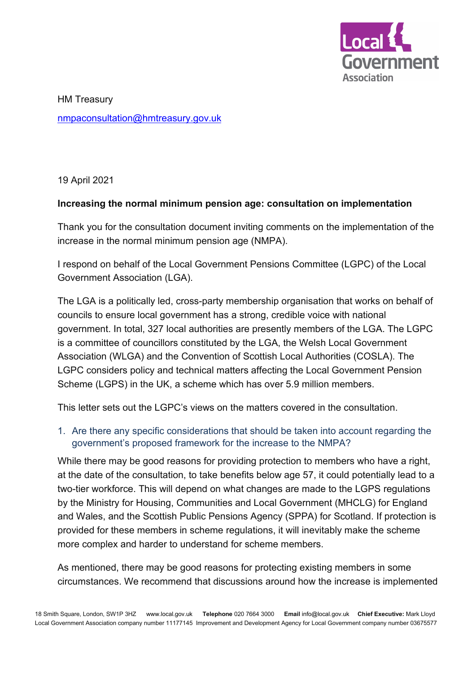

HM Treasury [nmpaconsultation@hmtreasury.gov.uk](mailto:nmpaconsultation@hmtreasury.gov.uk)

19 April 2021

## **Increasing the normal minimum pension age: consultation on implementation**

Thank you for the consultation document inviting comments on the implementation of the increase in the normal minimum pension age (NMPA).

I respond on behalf of the Local Government Pensions Committee (LGPC) of the Local Government Association (LGA).

The LGA is a politically led, cross-party membership organisation that works on behalf of councils to ensure local government has a strong, credible voice with national government. In total, 327 local authorities are presently members of the LGA. The LGPC is a committee of councillors constituted by the LGA, the Welsh Local Government Association (WLGA) and the Convention of Scottish Local Authorities (COSLA). The LGPC considers policy and technical matters affecting the Local Government Pension Scheme (LGPS) in the UK, a scheme which has over 5.9 million members.

This letter sets out the LGPC's views on the matters covered in the consultation.

1. Are there any specific considerations that should be taken into account regarding the government's proposed framework for the increase to the NMPA?

While there may be good reasons for providing protection to members who have a right, at the date of the consultation, to take benefits below age 57, it could potentially lead to a two-tier workforce. This will depend on what changes are made to the LGPS regulations by the Ministry for Housing, Communities and Local Government (MHCLG) for England and Wales, and the Scottish Public Pensions Agency (SPPA) for Scotland. If protection is provided for these members in scheme regulations, it will inevitably make the scheme more complex and harder to understand for scheme members.

As mentioned, there may be good reasons for protecting existing members in some circumstances. We recommend that discussions around how the increase is implemented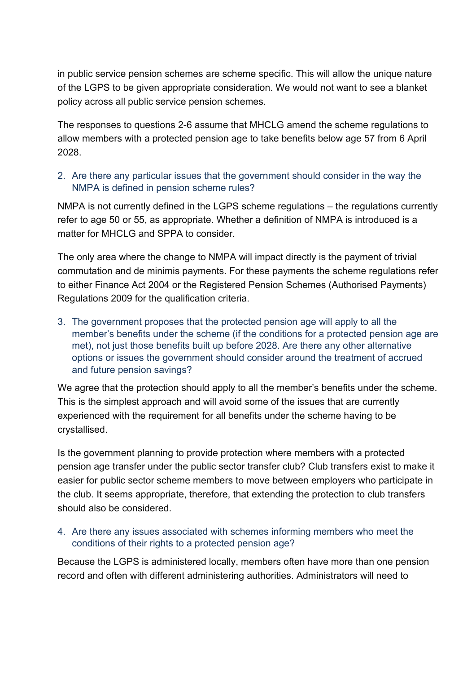in public service pension schemes are scheme specific. This will allow the unique nature of the LGPS to be given appropriate consideration. We would not want to see a blanket policy across all public service pension schemes.

The responses to questions 2-6 assume that MHCLG amend the scheme regulations to allow members with a protected pension age to take benefits below age 57 from 6 April 2028.

2. Are there any particular issues that the government should consider in the way the NMPA is defined in pension scheme rules?

NMPA is not currently defined in the LGPS scheme regulations – the regulations currently refer to age 50 or 55, as appropriate. Whether a definition of NMPA is introduced is a matter for MHCLG and SPPA to consider.

The only area where the change to NMPA will impact directly is the payment of trivial commutation and de minimis payments. For these payments the scheme regulations refer to either Finance Act 2004 or the Registered Pension Schemes (Authorised Payments) Regulations 2009 for the qualification criteria.

3. The government proposes that the protected pension age will apply to all the member's benefits under the scheme (if the conditions for a protected pension age are met), not just those benefits built up before 2028. Are there any other alternative options or issues the government should consider around the treatment of accrued and future pension savings?

We agree that the protection should apply to all the member's benefits under the scheme. This is the simplest approach and will avoid some of the issues that are currently experienced with the requirement for all benefits under the scheme having to be crystallised.

Is the government planning to provide protection where members with a protected pension age transfer under the public sector transfer club? Club transfers exist to make it easier for public sector scheme members to move between employers who participate in the club. It seems appropriate, therefore, that extending the protection to club transfers should also be considered.

4. Are there any issues associated with schemes informing members who meet the conditions of their rights to a protected pension age?

Because the LGPS is administered locally, members often have more than one pension record and often with different administering authorities. Administrators will need to